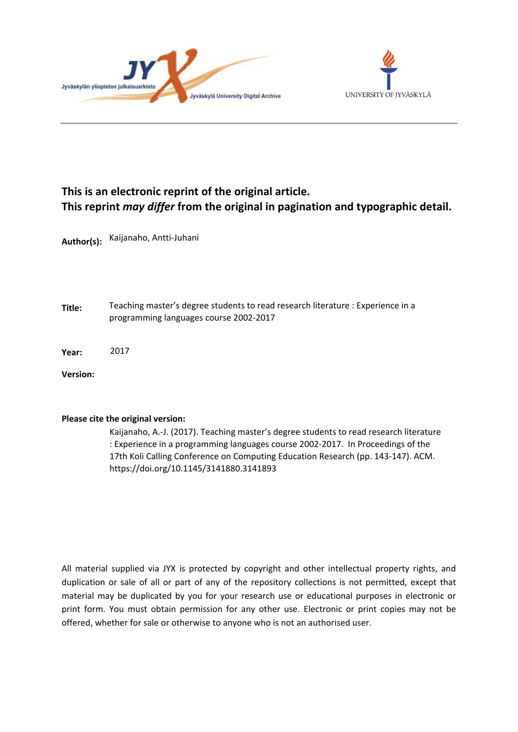



# **This is an electronic reprint of the original article. This reprint** *may differ* **from the original in pagination and typographic detail.**

**Author(s):**  Kaijanaho, Antti-Juhani

**Title:** Teaching master's degree students to read research literature : Experience in a programming languages course 2002-2017

**Year:**  2017

**Version:**

# **Please cite the original version:**

Kaijanaho, A.-J. (2017). Teaching master's degree students to read research literature : Experience in a programming languages course 2002-2017. In Proceedings of the 17th Koli Calling Conference on Computing Education Research (pp. 143-147). ACM. https://doi.org/10.1145/3141880.3141893

All material supplied via JYX is protected by copyright and other intellectual property rights, and duplication or sale of all or part of any of the repository collections is not permitted, except that material may be duplicated by you for your research use or educational purposes in electronic or print form. You must obtain permission for any other use. Electronic or print copies may not be offered, whether for sale or otherwise to anyone who is not an authorised user.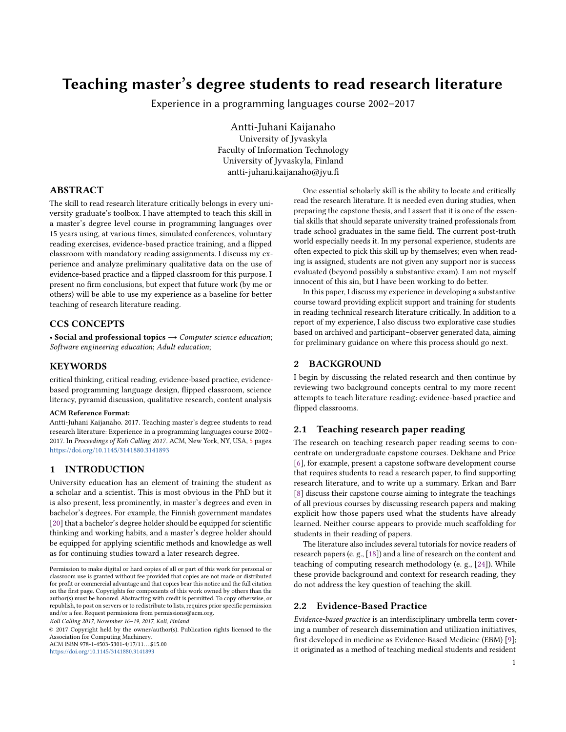# Teaching master's degree students to read research literature

Experience in a programming languages course 2002–2017

Antti-Juhani Kaijanaho University of Jyvaskyla Faculty of Information Technology University of Jyvaskyla, Finland antti-juhani.kaijanaho@jyu.fi

## ABSTRACT

The skill to read research literature critically belongs in every university graduate's toolbox. I have attempted to teach this skill in a master's degree level course in programming languages over 15 years using, at various times, simulated conferences, voluntary reading exercises, evidence-based practice training, and a flipped classroom with mandatory reading assignments. I discuss my experience and analyze preliminary qualitative data on the use of evidence-based practice and a flipped classroom for this purpose. I present no firm conclusions, but expect that future work (by me or others) will be able to use my experience as a baseline for better teaching of research literature reading.

#### CCS CONCEPTS

• Social and professional topics  $\rightarrow$  Computer science education; Software engineering education; Adult education;

## **KEYWORDS**

critical thinking, critical reading, evidence-based practice, evidencebased programming language design, flipped classroom, science literacy, pyramid discussion, qualitative research, content analysis

#### ACM Reference Format:

Antti-Juhani Kaijanaho. 2017. Teaching master's degree students to read research literature: Experience in a programming languages course 2002– 2017. In Proceedings of Koli Calling 2017. ACM, New York, NY, USA, [5](#page-5-0) pages. <https://doi.org/10.1145/3141880.3141893>

#### 1 INTRODUCTION

University education has an element of training the student as a scholar and a scientist. This is most obvious in the PhD but it is also present, less prominently, in master's degrees and even in bachelor's degrees. For example, the Finnish government mandates [\[20\]](#page-5-1) that a bachelor's degree holder should be equipped for scientific thinking and working habits, and a master's degree holder should be equipped for applying scientific methods and knowledge as well as for continuing studies toward a later research degree.

© 2017 Copyright held by the owner/author(s). Publication rights licensed to the Association for Computing Machinery. ACM ISBN 978-1-4503-5301-4/17/11. . . \$15.00

<https://doi.org/10.1145/3141880.3141893>

One essential scholarly skill is the ability to locate and critically read the research literature. It is needed even during studies, when preparing the capstone thesis, and I assert that it is one of the essential skills that should separate university trained professionals from trade school graduates in the same field. The current post-truth world especially needs it. In my personal experience, students are often expected to pick this skill up by themselves; even when reading is assigned, students are not given any support nor is success evaluated (beyond possibly a substantive exam). I am not myself innocent of this sin, but I have been working to do better.

In this paper, I discuss my experience in developing a substantive course toward providing explicit support and training for students in reading technical research literature critically. In addition to a report of my experience, I also discuss two explorative case studies based on archived and participant–observer generated data, aiming for preliminary guidance on where this process should go next.

### 2 BACKGROUND

I begin by discussing the related research and then continue by reviewing two background concepts central to my more recent attempts to teach literature reading: evidence-based practice and flipped classrooms.

### 2.1 Teaching research paper reading

The research on teaching research paper reading seems to concentrate on undergraduate capstone courses. Dekhane and Price [\[6\]](#page-5-2), for example, present a capstone software development course that requires students to read a research paper, to find supporting research literature, and to write up a summary. Erkan and Barr [\[8\]](#page-5-3) discuss their capstone course aiming to integrate the teachings of all previous courses by discussing research papers and making explicit how those papers used what the students have already learned. Neither course appears to provide much scaffolding for students in their reading of papers.

The literature also includes several tutorials for novice readers of research papers (e. g., [\[18\]](#page-5-4)) and a line of research on the content and teaching of computing research methodology (e. g., [\[24\]](#page-5-5)). While these provide background and context for research reading, they do not address the key question of teaching the skill.

## 2.2 Evidence-Based Practice

Evidence-based practice is an interdisciplinary umbrella term covering a number of research dissemination and utilization initiatives, first developed in medicine as Evidence-Based Medicine (EBM) [\[9\]](#page-5-6); it originated as a method of teaching medical students and resident

Permission to make digital or hard copies of all or part of this work for personal or classroom use is granted without fee provided that copies are not made or distributed for profit or commercial advantage and that copies bear this notice and the full citation on the first page. Copyrights for components of this work owned by others than the author(s) must be honored. Abstracting with credit is permitted. To copy otherwise, or republish, to post on servers or to redistribute to lists, requires prior specific permission and/or a fee. Request permissions from permissions@acm.org. Koli Calling 2017, November 16–19, 2017, Koli, Finland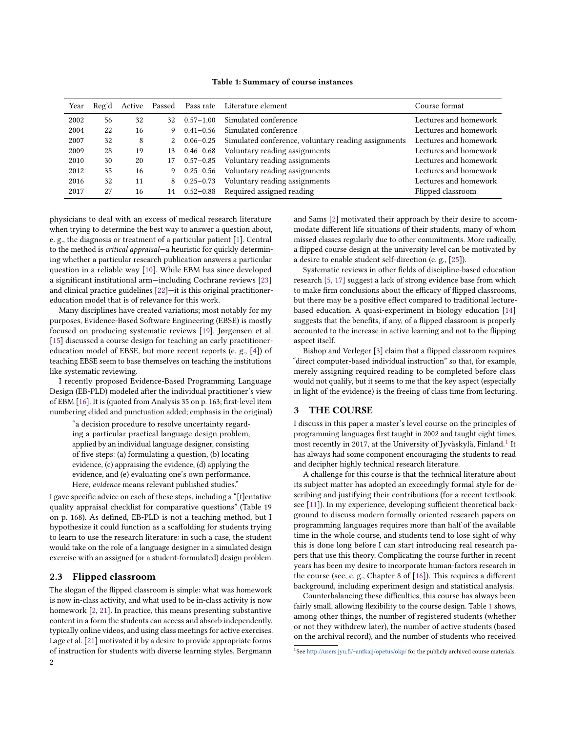Table 1: Summary of course instances

<span id="page-2-1"></span>

| Year | Reg'd | Active |    |               | Passed Pass rate Literature element                 | Course format         |
|------|-------|--------|----|---------------|-----------------------------------------------------|-----------------------|
| 2002 | 56    | 32     | 32 | $0.57 - 1.00$ | Simulated conference                                | Lectures and homework |
| 2004 | 22    | 16     | 9  | $0.41 - 0.56$ | Simulated conference                                | Lectures and homework |
| 2007 | 32    | 8      | 2  | $0.06 - 0.25$ | Simulated conference, voluntary reading assignments | Lectures and homework |
| 2009 | 28    | 19     | 13 | $0.46 - 0.68$ | Voluntary reading assignments                       | Lectures and homework |
| 2010 | 30    | 20     | 17 | $0.57 - 0.85$ | Voluntary reading assignments                       | Lectures and homework |
| 2012 | 35    | 16     | 9  | $0.25 - 0.56$ | Voluntary reading assignments                       | Lectures and homework |
| 2016 | 32    | 11     | 8  | $0.25 - 0.73$ | Voluntary reading assignments                       | Lectures and homework |
| 2017 | 27    | 16     | 14 | $0.52 - 0.88$ | Required assigned reading                           | Flipped classroom     |

physicians to deal with an excess of medical research literature when trying to determine the best way to answer a question about, e. g., the diagnosis or treatment of a particular patient [\[1\]](#page-5-7). Central to the method is critical appraisal—a heuristic for quickly determining whether a particular research publication answers a particular question in a reliable way [\[10\]](#page-5-8). While EBM has since developed a significant institutional arm—including Cochrane reviews [\[23\]](#page-5-9) and clinical practice guidelines [\[22\]](#page-5-10)—it is this original practitionereducation model that is of relevance for this work.

Many disciplines have created variations; most notably for my purposes, Evidence-Based Software Engineering (EBSE) is mostly focused on producing systematic reviews [\[19\]](#page-5-11). Jørgensen et al. [\[15\]](#page-5-12) discussed a course design for teaching an early practitionereducation model of EBSE, but more recent reports (e. g., [\[4\]](#page-5-13)) of teaching EBSE seem to base themselves on teaching the institutions like systematic reviewing.

I recently proposed Evidence-Based Programming Language Design (EB-PLD) modeled after the individual practitioner's view of EBM [\[16\]](#page-5-14). It is (quoted from Analysis 35 on p. 163; first-level item numbering elided and punctuation added; emphasis in the original)

"a decision procedure to resolve uncertainty regarding a particular practical language design problem, applied by an individual language designer, consisting of five steps: (a) formulating a question, (b) locating evidence, (c) appraising the evidence, (d) applying the evidence, and (e) evaluating one's own performance. Here, evidence means relevant published studies."

I gave specific advice on each of these steps, including a "[t]entative quality appraisal checklist for comparative questions" (Table 19 on p. 168). As defined, EB-PLD is not a teaching method, but I hypothesize it could function as a scaffolding for students trying to learn to use the research literature: in such a case, the student would take on the role of a language designer in a simulated design exercise with an assigned (or a student-formulated) design problem.

#### 2.3 Flipped classroom

The slogan of the flipped classroom is simple: what was homework is now in-class activity, and what used to be in-class activity is now homework [\[2,](#page-5-15) [21\]](#page-5-16). In practice, this means presenting substantive content in a form the students can access and absorb independently, typically online videos, and using class meetings for active exercises. Lage et al. [\[21\]](#page-5-16) motivated it by a desire to provide appropriate forms of instruction for students with diverse learning styles. Bergmann

and Sams [\[2\]](#page-5-15) motivated their approach by their desire to accommodate different life situations of their students, many of whom missed classes regularly due to other commitments. More radically, a flipped course design at the university level can be motivated by a desire to enable student self-direction (e. g., [\[25\]](#page-5-17)).

Systematic reviews in other fields of discipline-based education research [\[5,](#page-5-18) [17\]](#page-5-19) suggest a lack of strong evidence base from which to make firm conclusions about the efficacy of flipped classrooms, but there may be a positive effect compared to traditional lecturebased education. A quasi-experiment in biology education [\[14\]](#page-5-20) suggests that the benefits, if any, of a flipped classroom is properly accounted to the increase in active learning and not to the flipping aspect itself.

Bishop and Verleger [\[3\]](#page-5-21) claim that a flipped classroom requires "direct computer-based individual instruction" so that, for example, merely assigning required reading to be completed before class would not qualify, but it seems to me that the key aspect (especially in light of the evidence) is the freeing of class time from lecturing.

### 3 THE COURSE

I discuss in this paper a master's level course on the principles of programming languages first taught in 2002 and taught eight times, most recently in 20[1](#page-2-0)7, at the University of Jyväskylä, Finland.<sup>1</sup> It has always had some component encouraging the students to read and decipher highly technical research literature.

A challenge for this course is that the technical literature about its subject matter has adopted an exceedingly formal style for describing and justifying their contributions (for a recent textbook, see [\[11\]](#page-5-22)). In my experience, developing sufficient theoretical background to discuss modern formally oriented research papers on programming languages requires more than half of the available time in the whole course, and students tend to lose sight of why this is done long before I can start introducing real research papers that use this theory. Complicating the course further in recent years has been my desire to incorporate human-factors research in the course (see, e. g., Chapter 8 of [\[16\]](#page-5-14)). This requires a different background, including experiment design and statistical analysis.

Counterbalancing these difficulties, this course has always been fairly small, allowing flexibility to the course design. Table [1](#page-2-1) shows, among other things, the number of registered students (whether or not they withdrew later), the number of active students (based on the archival record), and the number of students who received

<span id="page-2-0"></span><sup>&</sup>lt;sup>1</sup>See <http://users.jyu.fi/~antkaij/opetus/okp/> for the publicly archived course materials.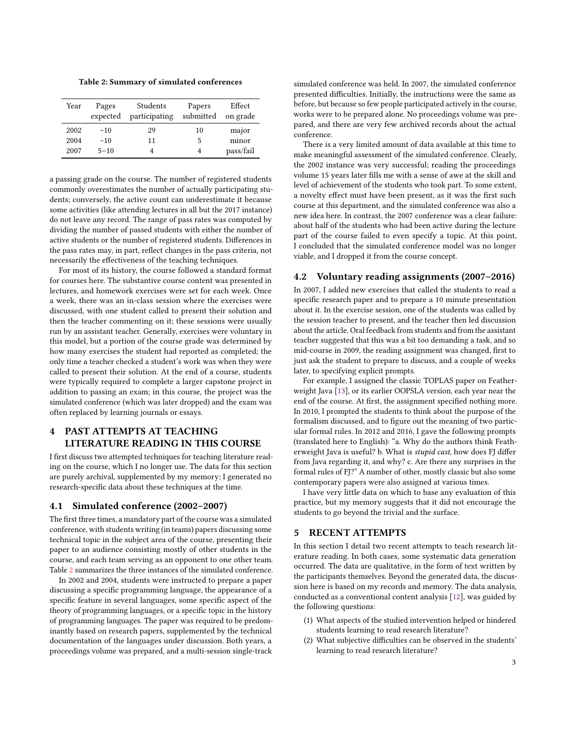Table 2: Summary of simulated conferences

<span id="page-3-0"></span>

| Year | Pages<br>expected | Students<br>participating | Papers<br>submitted | Effect<br>on grade |
|------|-------------------|---------------------------|---------------------|--------------------|
| 2002 | ~10               | 29                        | 10                  | major              |
| 2004 | ~10               | 11                        | 5                   | minor              |
| 2007 | $5 - 10$          | 4                         | 4                   | pass/fail          |

a passing grade on the course. The number of registered students commonly overestimates the number of actually participating students; conversely, the active count can underestimate it because some activities (like attending lectures in all but the 2017 instance) do not leave any record. The range of pass rates was computed by dividing the number of passed students with either the number of active students or the number of registered students. Differences in the pass rates may, in part, reflect changes in the pass criteria, not necessarily the effectiveness of the teaching techniques.

For most of its history, the course followed a standard format for courses here. The substantive course content was presented in lectures, and homework exercises were set for each week. Once a week, there was an in-class session where the exercises were discussed, with one student called to present their solution and then the teacher commenting on it; these sessions were usually run by an assistant teacher. Generally, exercises were voluntary in this model, but a portion of the course grade was determined by how many exercises the student had reported as completed; the only time a teacher checked a student's work was when they were called to present their solution. At the end of a course, students were typically required to complete a larger capstone project in addition to passing an exam; in this course, the project was the simulated conference (which was later dropped) and the exam was often replaced by learning journals or essays.

## 4 PAST ATTEMPTS AT TEACHING LITERATURE READING IN THIS COURSE

I first discuss two attempted techniques for teaching literature reading on the course, which I no longer use. The data for this section are purely archival, supplemented by my memory; I generated no research-specific data about these techniques at the time.

#### 4.1 Simulated conference (2002–2007)

The first three times, a mandatory part of the course was a simulated conference, with students writing (in teams) papers discussing some technical topic in the subject area of the course, presenting their paper to an audience consisting mostly of other students in the course, and each team serving as an opponent to one other team. Table [2](#page-3-0) summarizes the three instances of the simulated conference.

In 2002 and 2004, students were instructed to prepare a paper discussing a specific programming language, the appearance of a specific feature in several languages, some specific aspect of the theory of programming languages, or a specific topic in the history of programming languages. The paper was required to be predominantly based on research papers, supplemented by the technical documentation of the languages under discussion. Both years, a proceedings volume was prepared, and a multi-session single-track

simulated conference was held. In 2007, the simulated conference presented difficulties. Initially, the instructions were the same as before, but because so few people participated actively in the course, works were to be prepared alone. No proceedings volume was prepared, and there are very few archived records about the actual conference.

There is a very limited amount of data available at this time to make meaningful assessment of the simulated conference. Clearly, the 2002 instance was very successful; reading the proceedings volume 15 years later fills me with a sense of awe at the skill and level of achievement of the students who took part. To some extent, a novelty effect must have been present, as it was the first such course at this department, and the simulated conference was also a new idea here. In contrast, the 2007 conference was a clear failure: about half of the students who had been active during the lecture part of the course failed to even specify a topic. At this point, I concluded that the simulated conference model was no longer viable, and I dropped it from the course concept.

#### 4.2 Voluntary reading assignments (2007–2016)

In 2007, I added new exercises that called the students to read a specific research paper and to prepare a 10 minute presentation about it. In the exercise session, one of the students was called by the session teacher to present, and the teacher then led discussion about the article. Oral feedback from students and from the assistant teacher suggested that this was a bit too demanding a task, and so mid-course in 2009, the reading assignment was changed, first to just ask the student to prepare to discuss, and a couple of weeks later, to specifying explicit prompts.

For example, I assigned the classic TOPLAS paper on Featherweight Java [\[13\]](#page-5-23), or its earlier OOPSLA version, each year near the end of the course. At first, the assignment specified nothing more. In 2010, I prompted the students to think about the purpose of the formalism discussed, and to figure out the meaning of two particular formal rules. In 2012 and 2016, I gave the following prompts (translated here to English): "a. Why do the authors think Featherweight Java is useful? b. What is stupid cast, how does FJ differ from Java regarding it, and why? c. Are there any surprises in the formal rules of FJ?" A number of other, mostly classic but also some contemporary papers were also assigned at various times.

I have very little data on which to base any evaluation of this practice, but my memory suggests that it did not encourage the students to go beyond the trivial and the surface.

## 5 RECENT ATTEMPTS

In this section I detail two recent attempts to teach research literature reading. In both cases, some systematic data generation occurred. The data are qualitative, in the form of text written by the participants themselves. Beyond the generated data, the discussion here is based on my records and memory. The data analysis, conducted as a conventional content analysis [\[12\]](#page-5-24), was guided by the following questions:

- (1) What aspects of the studied intervention helped or hindered students learning to read research literature?
- (2) What subjective difficulties can be observed in the students' learning to read research literature?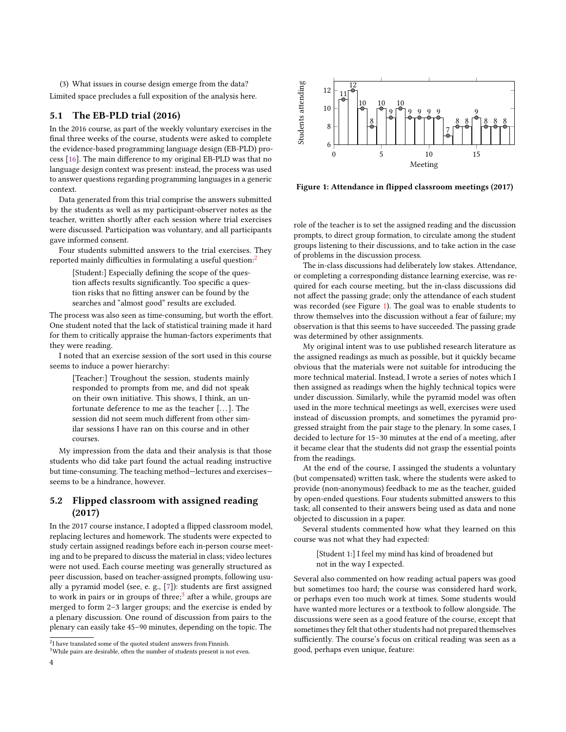(3) What issues in course design emerge from the data? Limited space precludes a full exposition of the analysis here.

## 5.1 The EB-PLD trial (2016)

In the 2016 course, as part of the weekly voluntary exercises in the final three weeks of the course, students were asked to complete the evidence-based programming language design (EB-PLD) process [\[16\]](#page-5-14). The main difference to my original EB-PLD was that no language design context was present: instead, the process was used to answer questions regarding programming languages in a generic context.

Data generated from this trial comprise the answers submitted by the students as well as my participant-observer notes as the teacher, written shortly after each session where trial exercises were discussed. Participation was voluntary, and all participants gave informed consent.

Four students submitted answers to the trial exercises. They reported mainly difficulties in formulating a useful question:<sup>[2](#page-4-0)</sup>

[Student:] Especially defining the scope of the question affects results significantly. Too specific a question risks that no fitting answer can be found by the searches and "almost good" results are excluded.

The process was also seen as time-consuming, but worth the effort. One student noted that the lack of statistical training made it hard for them to critically appraise the human-factors experiments that they were reading.

I noted that an exercise session of the sort used in this course seems to induce a power hierarchy:

[Teacher:] Troughout the session, students mainly responded to prompts from me, and did not speak on their own initiative. This shows, I think, an unfortunate deference to me as the teacher [. . . ]. The session did not seem much different from other similar sessions I have ran on this course and in other courses.

My impression from the data and their analysis is that those students who did take part found the actual reading instructive but time-consuming. The teaching method—lectures and exercises seems to be a hindrance, however.

## 5.2 Flipped classroom with assigned reading (2017)

In the 2017 course instance, I adopted a flipped classroom model, replacing lectures and homework. The students were expected to study certain assigned readings before each in-person course meeting and to be prepared to discuss the material in class; video lectures were not used. Each course meeting was generally structured as peer discussion, based on teacher-assigned prompts, following usually a pyramid model (see, e. g., [\[7\]](#page-5-25)): students are first assigned to work in pairs or in groups of three;<sup>[3](#page-4-1)</sup> after a while, groups are merged to form 2–3 larger groups; and the exercise is ended by a plenary discussion. One round of discussion from pairs to the plenary can easily take 45–90 minutes, depending on the topic. The

<span id="page-4-0"></span>

<span id="page-4-1"></span> $3$ While pairs are desirable, often the number of students present is not even.

<span id="page-4-2"></span>

Figure 1: Attendance in flipped classroom meetings (2017)

role of the teacher is to set the assigned reading and the discussion prompts, to direct group formation, to circulate among the student groups listening to their discussions, and to take action in the case of problems in the discussion process.

The in-class discussions had deliberately low stakes. Attendance, or completing a corresponding distance learning exercise, was required for each course meeting, but the in-class discussions did not affect the passing grade; only the attendance of each student was recorded (see Figure [1\)](#page-4-2). The goal was to enable students to throw themselves into the discussion without a fear of failure; my observation is that this seems to have succeeded. The passing grade was determined by other assignments.

My original intent was to use published research literature as the assigned readings as much as possible, but it quickly became obvious that the materials were not suitable for introducing the more technical material. Instead, I wrote a series of notes which I then assigned as readings when the highly technical topics were under discussion. Similarly, while the pyramid model was often used in the more technical meetings as well, exercises were used instead of discussion prompts, and sometimes the pyramid progressed straight from the pair stage to the plenary. In some cases, I decided to lecture for 15–30 minutes at the end of a meeting, after it became clear that the students did not grasp the essential points from the readings.

At the end of the course, I assinged the students a voluntary (but compensated) written task, where the students were asked to provide (non-anonymous) feedback to me as the teacher, guided by open-ended questions. Four students submitted answers to this task; all consented to their answers being used as data and none objected to discussion in a paper.

Several students commented how what they learned on this course was not what they had expected:

> [Student 1:] I feel my mind has kind of broadened but not in the way I expected.

Several also commented on how reading actual papers was good but sometimes too hard; the course was considered hard work, or perhaps even too much work at times. Some students would have wanted more lectures or a textbook to follow alongside. The discussions were seen as a good feature of the course, except that sometimes they felt that other students had not prepared themselves sufficiently. The course's focus on critical reading was seen as a good, perhaps even unique, feature: